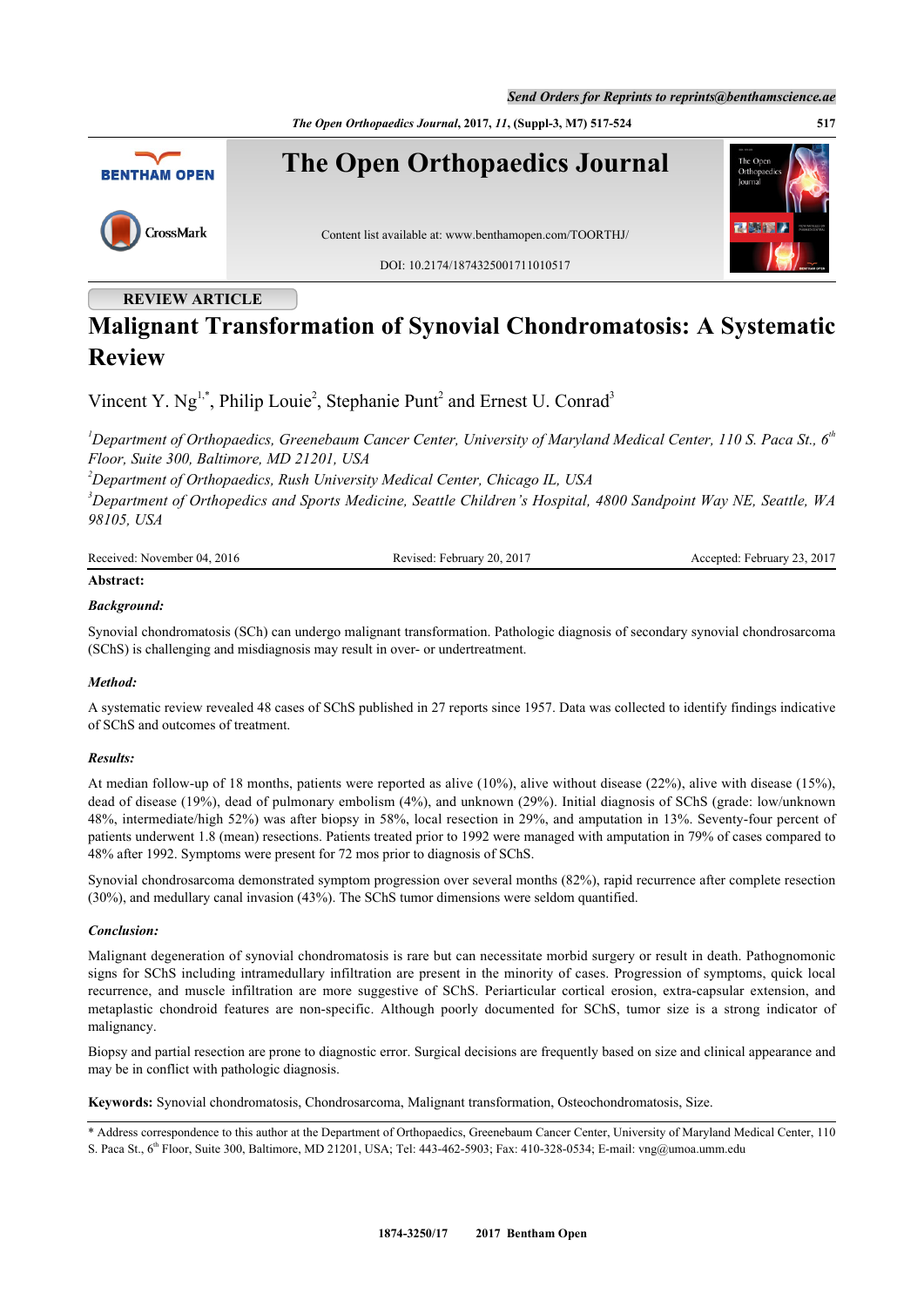*The Open Orthopaedics Journal***, 2017,** *11***, (Suppl-3, M7) 517-524 517**



## **REVIEW ARTICLE**

# **Malignant Transformation of Synovial Chondromatosis: A Systematic Review**

Vincent Y.  $Ng^{1,*}$  $Ng^{1,*}$  $Ng^{1,*}$  $Ng^{1,*}$  $Ng^{1,*}$ , Philip Louie<sup>[2](#page-0-2)</sup>, Stephanie Punt<sup>2</sup> and Ernest U. Conrad<sup>[3](#page-0-3)</sup>

<span id="page-0-0"></span>*<sup>1</sup>Department of Orthopaedics, Greenebaum Cancer Center, University of Maryland Medical Center, 110 S. Paca St., 6th Floor, Suite 300, Baltimore, MD 21201, USA*

<span id="page-0-2"></span>*<sup>2</sup>Department of Orthopaedics, Rush University Medical Center, Chicago IL, USA*

<span id="page-0-3"></span>*<sup>3</sup>Department of Orthopedics and Sports Medicine, Seattle Children's Hospital, 4800 Sandpoint Way NE, Seattle, WA 98105, USA*

| Received: November 04, 2016 | Revised: February 20, 2017 | Accepted: February 23, 2017 |
|-----------------------------|----------------------------|-----------------------------|
| Abstract:                   |                            |                             |

### *Background:*

Synovial chondromatosis (SCh) can undergo malignant transformation. Pathologic diagnosis of secondary synovial chondrosarcoma (SChS) is challenging and misdiagnosis may result in over- or undertreatment.

#### *Method:*

A systematic review revealed 48 cases of SChS published in 27 reports since 1957. Data was collected to identify findings indicative of SChS and outcomes of treatment.

#### *Results:*

At median follow-up of 18 months, patients were reported as alive (10%), alive without disease (22%), alive with disease (15%), dead of disease (19%), dead of pulmonary embolism (4%), and unknown (29%). Initial diagnosis of SChS (grade: low/unknown 48%, intermediate/high 52%) was after biopsy in 58%, local resection in 29%, and amputation in 13%. Seventy-four percent of patients underwent 1.8 (mean) resections. Patients treated prior to 1992 were managed with amputation in 79% of cases compared to 48% after 1992. Symptoms were present for 72 mos prior to diagnosis of SChS.

Synovial chondrosarcoma demonstrated symptom progression over several months (82%), rapid recurrence after complete resection (30%), and medullary canal invasion (43%). The SChS tumor dimensions were seldom quantified.

#### *Conclusion:*

Malignant degeneration of synovial chondromatosis is rare but can necessitate morbid surgery or result in death. Pathognomonic signs for SChS including intramedullary infiltration are present in the minority of cases. Progression of symptoms, quick local recurrence, and muscle infiltration are more suggestive of SChS. Periarticular cortical erosion, extra-capsular extension, and metaplastic chondroid features are non-specific. Although poorly documented for SChS, tumor size is a strong indicator of malignancy.

Biopsy and partial resection are prone to diagnostic error. Surgical decisions are frequently based on size and clinical appearance and may be in conflict with pathologic diagnosis.

**Keywords:** Synovial chondromatosis, Chondrosarcoma, Malignant transformation, Osteochondromatosis, Size.

<span id="page-0-1"></span>\* Address correspondence to this author at the Department of Orthopaedics, Greenebaum Cancer Center, University of Maryland Medical Center, 110 S. Paca St., 6<sup>th</sup> Floor, Suite 300, Baltimore, MD 21201, USA; Tel: 443-462-5903; Fax: 410-328-0534; E-mail: [vng@umoa.umm.edu](mailto:vng@umoa.umm.edu)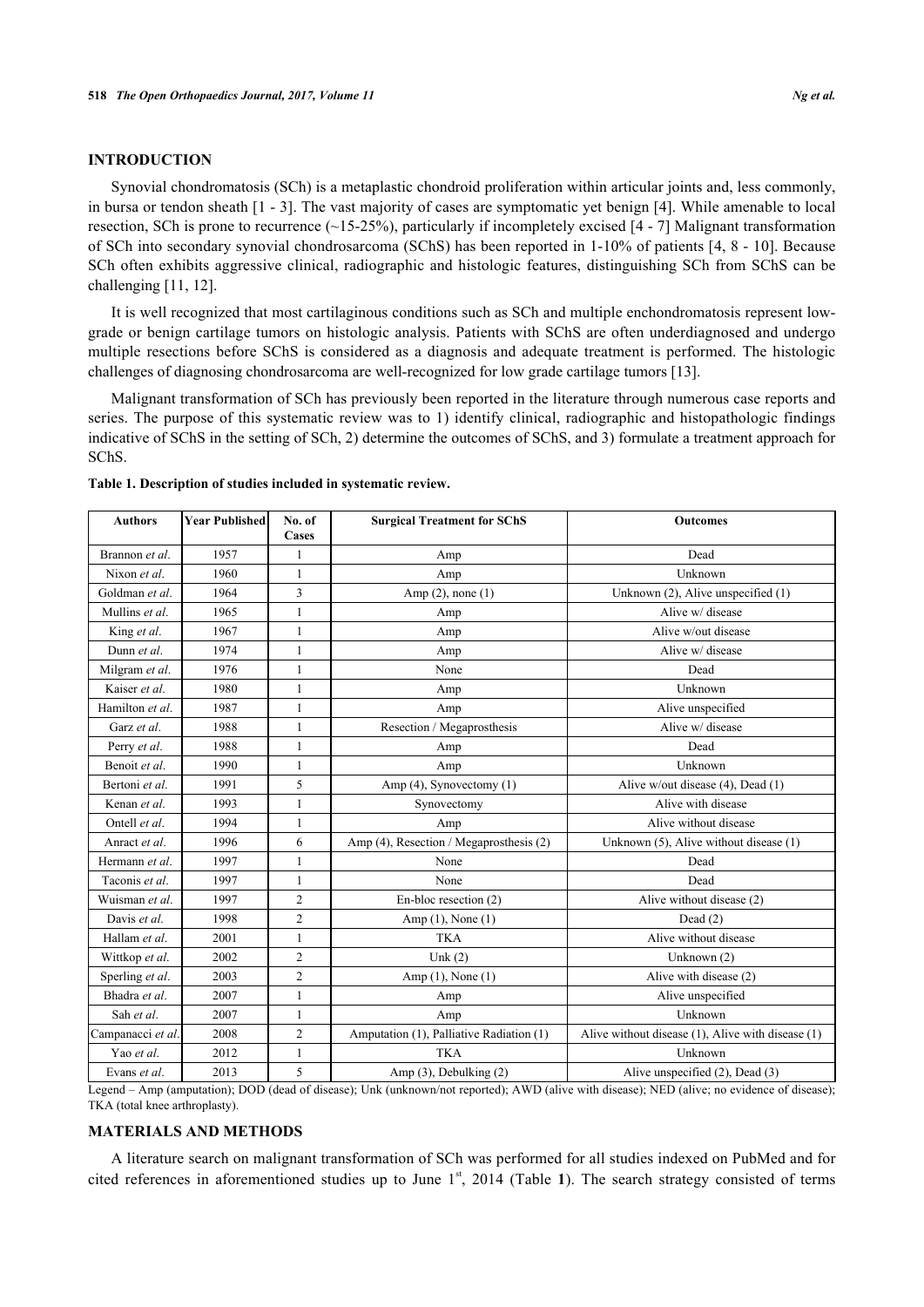#### **INTRODUCTION**

Synovial chondromatosis (SCh) is a metaplastic chondroid proliferation within articular joints and, less commonly, in bursa or tendon sheath [\[1](#page-5-0) - [3](#page-5-1)]. The vast majority of cases are symptomatic yet benign [[4\]](#page-5-2). While amenable to local resection, SCh is prone to recurrence  $(\sim15-25\%)$ , particularly if incompletely excised [[4](#page-5-2) - [7\]](#page-5-3) Malignant transformation of SCh into secondary synovial chondrosarcoma (SChS) has been reported in 1-10% of patients [\[4](#page-5-2), [8](#page-5-4) - [10\]](#page-5-5). Because SCh often exhibits aggressive clinical, radiographic and histologic features, distinguishing SCh from SChS can be challenging [\[11](#page-5-6), [12](#page-5-7)].

It is well recognized that most cartilaginous conditions such as SCh and multiple enchondromatosis represent lowgrade or benign cartilage tumors on histologic analysis. Patients with SChS are often underdiagnosed and undergo multiple resections before SChS is considered as a diagnosis and adequate treatment is performed. The histologic challenges of diagnosing chondrosarcoma are well-recognized for low grade cartilage tumors [[13\]](#page-5-8).

Malignant transformation of SCh has previously been reported in the literature through numerous case reports and series. The purpose of this systematic review was to 1) identify clinical, radiographic and histopathologic findings indicative of SChS in the setting of SCh, 2) determine the outcomes of SChS, and 3) formulate a treatment approach for SChS.

| <b>Authors</b>    | <b>Year Published</b> | No. of<br><b>Cases</b> | <b>Surgical Treatment for SChS</b>       | <b>Outcomes</b>                                   |
|-------------------|-----------------------|------------------------|------------------------------------------|---------------------------------------------------|
| Brannon et al.    | 1957                  | $\mathbf{1}$           | Amp                                      | Dead                                              |
| Nixon et al.      | 1960                  | $\mathbf{1}$           | Amp                                      | Unknown                                           |
| Goldman et al.    | 1964                  | 3                      | Amp $(2)$ , none $(1)$                   | Unknown $(2)$ , Alive unspecified $(1)$           |
| Mullins et al.    | 1965                  | 1                      | Amp                                      | Alive w/ disease                                  |
| King et al.       | 1967                  | $\mathbf{1}$           | Amp                                      | Alive w/out disease                               |
| Dunn et al.       | 1974                  | 1                      | Amp                                      | Alive w/ disease                                  |
| Milgram et al.    | 1976                  | 1                      | None                                     | Dead                                              |
| Kaiser et al.     | 1980                  | 1                      | Amp                                      | Unknown                                           |
| Hamilton et al.   | 1987                  | $\mathbf{1}$           | Amp                                      | Alive unspecified                                 |
| Garz et al.       | 1988                  | 1                      | Resection / Megaprosthesis               | Alive w/ disease                                  |
| Perry et al.      | 1988                  | 1                      | Amp                                      | Dead                                              |
| Benoit et al.     | 1990                  | 1                      | Amp                                      | Unknown                                           |
| Bertoni et al.    | 1991                  | 5                      | Amp (4), Synovectomy (1)                 | Alive w/out disease (4), Dead (1)                 |
| Kenan et al.      | 1993                  | 1                      | Synovectomy                              | Alive with disease                                |
| Ontell et al.     | 1994                  | 1                      | Amp                                      | Alive without disease                             |
| Anract et al.     | 1996                  | 6                      | Amp (4), Resection / Megaprosthesis (2)  | Unknown (5), Alive without disease (1)            |
| Hermann et al.    | 1997                  | 1                      | None                                     | Dead                                              |
| Taconis et al.    | 1997                  | 1                      | None                                     | Dead                                              |
| Wuisman et al.    | 1997                  | $\overline{c}$         | En-bloc resection (2)                    | Alive without disease (2)                         |
| Davis et al.      | 1998                  | $\overline{2}$         | Amp (1), None (1)                        | Dead $(2)$                                        |
| Hallam et al.     | 2001                  | 1                      | <b>TKA</b>                               | Alive without disease                             |
| Wittkop et al.    | 2002                  | $\overline{2}$         | Unk $(2)$                                | Unknown (2)                                       |
| Sperling et al.   | 2003                  | $\overline{c}$         | Amp $(1)$ , None $(1)$                   | Alive with disease (2)                            |
| Bhadra et al.     | 2007                  | 1                      | Amp                                      | Alive unspecified                                 |
| Sah et al.        | 2007                  | 1                      | Amp                                      | Unknown                                           |
| Campanacci et al. | 2008                  | $\overline{2}$         | Amputation (1), Palliative Radiation (1) | Alive without disease (1), Alive with disease (1) |
| Yao et al.        | 2012                  | 1                      | <b>TKA</b>                               | Unknown                                           |
| Evans et al.      | 2013                  | 5                      | Amp (3), Debulking (2)                   | Alive unspecified (2), Dead (3)                   |

#### <span id="page-1-0"></span>**Table 1. Description of studies included in systematic review.**

Legend – Amp (amputation); DOD (dead of disease); Unk (unknown/not reported); AWD (alive with disease); NED (alive; no evidence of disease); TKA (total knee arthroplasty).

#### **MATERIALS AND METHODS**

A literature search on malignant transformation of SCh was performed for all studies indexed on PubMed and for citedreferences in aforementioned studies up to June 1<sup>st</sup>, 2014 (Table 1). The search strategy consisted of terms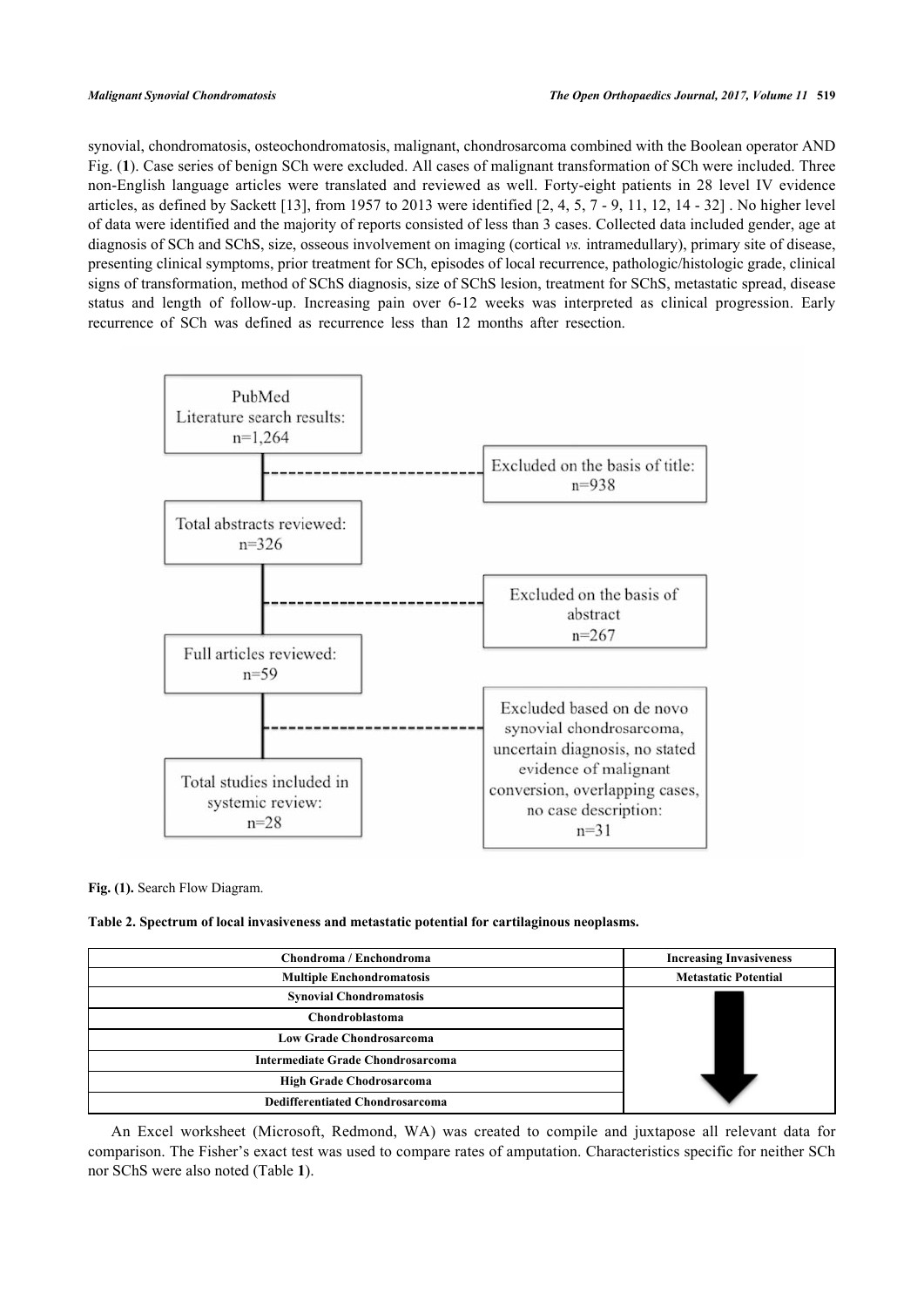synovial, chondromatosis, osteochondromatosis, malignant, chondrosarcoma combined with the Boolean operator AND Fig. (**[1](#page-2-0)**). Case series of benign SCh were excluded. All cases of malignant transformation of SCh were included. Three non-English language articles were translated and reviewed as well. Forty-eight patients in 28 level IV evidence articles, as defined by Sackett [\[13](#page-5-8)], from 1[9](#page-5-11)57 to 2013 were identified  $[2, 4, 5, 7 - 9, 11, 12, 14 - 32]$  $[2, 4, 5, 7 - 9, 11, 12, 14 - 32]$  $[2, 4, 5, 7 - 9, 11, 12, 14 - 32]$  $[2, 4, 5, 7 - 9, 11, 12, 14 - 32]$  $[2, 4, 5, 7 - 9, 11, 12, 14 - 32]$  $[2, 4, 5, 7 - 9, 11, 12, 14 - 32]$  $[2, 4, 5, 7 - 9, 11, 12, 14 - 32]$  $[2, 4, 5, 7 - 9, 11, 12, 14 - 32]$  $[2, 4, 5, 7 - 9, 11, 12, 14 - 32]$  $[2, 4, 5, 7 - 9, 11, 12, 14 - 32]$  $[2, 4, 5, 7 - 9, 11, 12, 14 - 32]$  $[2, 4, 5, 7 - 9, 11, 12, 14 - 32]$  $[2, 4, 5, 7 - 9, 11, 12, 14 - 32]$  $[2, 4, 5, 7 - 9, 11, 12, 14 - 32]$ . No higher level of data were identified and the majority of reports consisted of less than 3 cases. Collected data included gender, age at diagnosis of SCh and SChS, size, osseous involvement on imaging (cortical *vs.* intramedullary), primary site of disease, presenting clinical symptoms, prior treatment for SCh, episodes of local recurrence, pathologic/histologic grade, clinical signs of transformation, method of SChS diagnosis, size of SChS lesion, treatment for SChS, metastatic spread, disease status and length of follow-up. Increasing pain over 6-12 weeks was interpreted as clinical progression. Early recurrence of SCh was defined as recurrence less than 12 months after resection.

<span id="page-2-0"></span>

**Fig. (1).** Search Flow Diagram.

<span id="page-2-1"></span>**Table 2. Spectrum of local invasiveness and metastatic potential for cartilaginous neoplasms.**

| Chondroma / Enchondroma                  | <b>Increasing Invasiveness</b> |
|------------------------------------------|--------------------------------|
| <b>Multiple Enchondromatosis</b>         | <b>Metastatic Potential</b>    |
| <b>Synovial Chondromatosis</b>           |                                |
| Chondroblastoma                          |                                |
| <b>Low Grade Chondrosarcoma</b>          |                                |
| <b>Intermediate Grade Chondrosarcoma</b> |                                |
| <b>High Grade Chodrosarcoma</b>          |                                |
| <b>Dedifferentiated Chondrosarcoma</b>   |                                |

An Excel worksheet (Microsoft, Redmond, WA) was created to compile and juxtapose all relevant data for comparison. The Fisher's exact test was used to compare rates of amputation. Characteristics specific for neither SCh nor SChS were also noted (Table **[1](#page-1-0)**).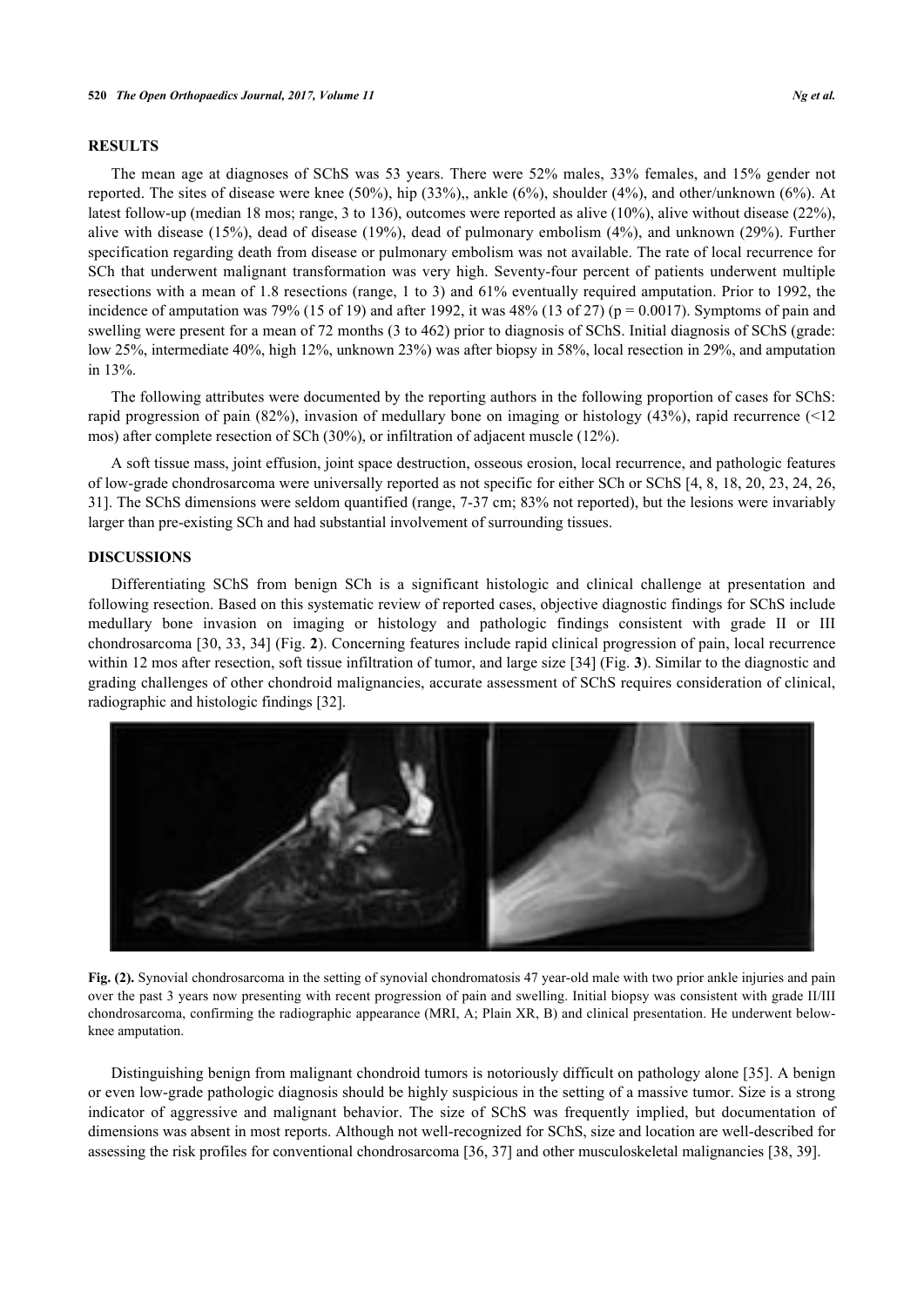#### **RESULTS**

The mean age at diagnoses of SChS was 53 years. There were 52% males, 33% females, and 15% gender not reported. The sites of disease were knee (50%), hip (33%),, ankle (6%), shoulder (4%), and other/unknown (6%). At latest follow-up (median 18 mos; range, 3 to 136), outcomes were reported as alive (10%), alive without disease (22%), alive with disease (15%), dead of disease (19%), dead of pulmonary embolism (4%), and unknown (29%). Further specification regarding death from disease or pulmonary embolism was not available. The rate of local recurrence for SCh that underwent malignant transformation was very high. Seventy-four percent of patients underwent multiple resections with a mean of 1.8 resections (range, 1 to 3) and 61% eventually required amputation. Prior to 1992, the incidence of amputation was 79% (15 of 19) and after 1992, it was 48% (13 of 27) ( $p = 0.0017$ ). Symptoms of pain and swelling were present for a mean of 72 months (3 to 462) prior to diagnosis of SChS. Initial diagnosis of SChS (grade: low 25%, intermediate 40%, high 12%, unknown 23%) was after biopsy in 58%, local resection in 29%, and amputation in 13%.

The following attributes were documented by the reporting authors in the following proportion of cases for SChS: rapid progression of pain (82%), invasion of medullary bone on imaging or histology (43%), rapid recurrence (<12 mos) after complete resection of SCh (30%), or infiltration of adjacent muscle (12%).

A soft tissue mass, joint effusion, joint space destruction, osseous erosion, local recurrence, and pathologic features of low-grade chondrosarcoma were universally reported as not specific for either SCh or SChS [\[4](#page-5-2), [8](#page-5-4), [18](#page-6-1), [20,](#page-6-2) [23,](#page-6-3) [24,](#page-6-4) [26](#page-6-5), [31\]](#page-6-6). The SChS dimensions were seldom quantified (range, 7-37 cm; 83% not reported), but the lesions were invariably larger than pre-existing SCh and had substantial involvement of surrounding tissues.

#### **DISCUSSIONS**

Differentiating SChS from benign SCh is a significant histologic and clinical challenge at presentation and following resection. Based on this systematic review of reported cases, objective diagnostic findings for SChS include medullary bone invasion on imaging or histology and pathologic findings consistent with grade II or III chondrosarcoma [[30](#page-6-7), [33,](#page-6-8) [34](#page-6-9)] (Fig. **[2](#page-3-0)**). Concerning features include rapid clinical progression of pain, local recurrence within 12 mos after resection, soft tissue infiltration of tumor, and large size [[34\]](#page-6-9) (Fig. [3](#page-3-1)). Similar to the diagnostic and grading challenges of other chondroid malignancies, accurate assessment of SChS requires consideration of clinical, radiographic and histologic findings [\[32](#page-6-0)].

<span id="page-3-0"></span>

**Fig. (2).** Synovial chondrosarcoma in the setting of synovial chondromatosis 47 year-old male with two prior ankle injuries and pain over the past 3 years now presenting with recent progression of pain and swelling. Initial biopsy was consistent with grade II/III chondrosarcoma, confirming the radiographic appearance (MRI, A; Plain XR, B) and clinical presentation. He underwent belowknee amputation.

<span id="page-3-1"></span>Distinguishing benign from malignant chondroid tumors is notoriously difficult on pathology alone [\[35](#page-6-10)]. A benign or even low-grade pathologic diagnosis should be highly suspicious in the setting of a massive tumor. Size is a strong indicator of aggressive and malignant behavior. The size of SChS was frequently implied, but documentation of dimensions was absent in most reports. Although not well-recognized for SChS, size and location are well-described for assessing the risk profiles for conventional chondrosarcoma [[36,](#page-6-11) [37\]](#page-6-12) and other musculoskeletal malignancies [\[38](#page-6-13), [39](#page-7-0)].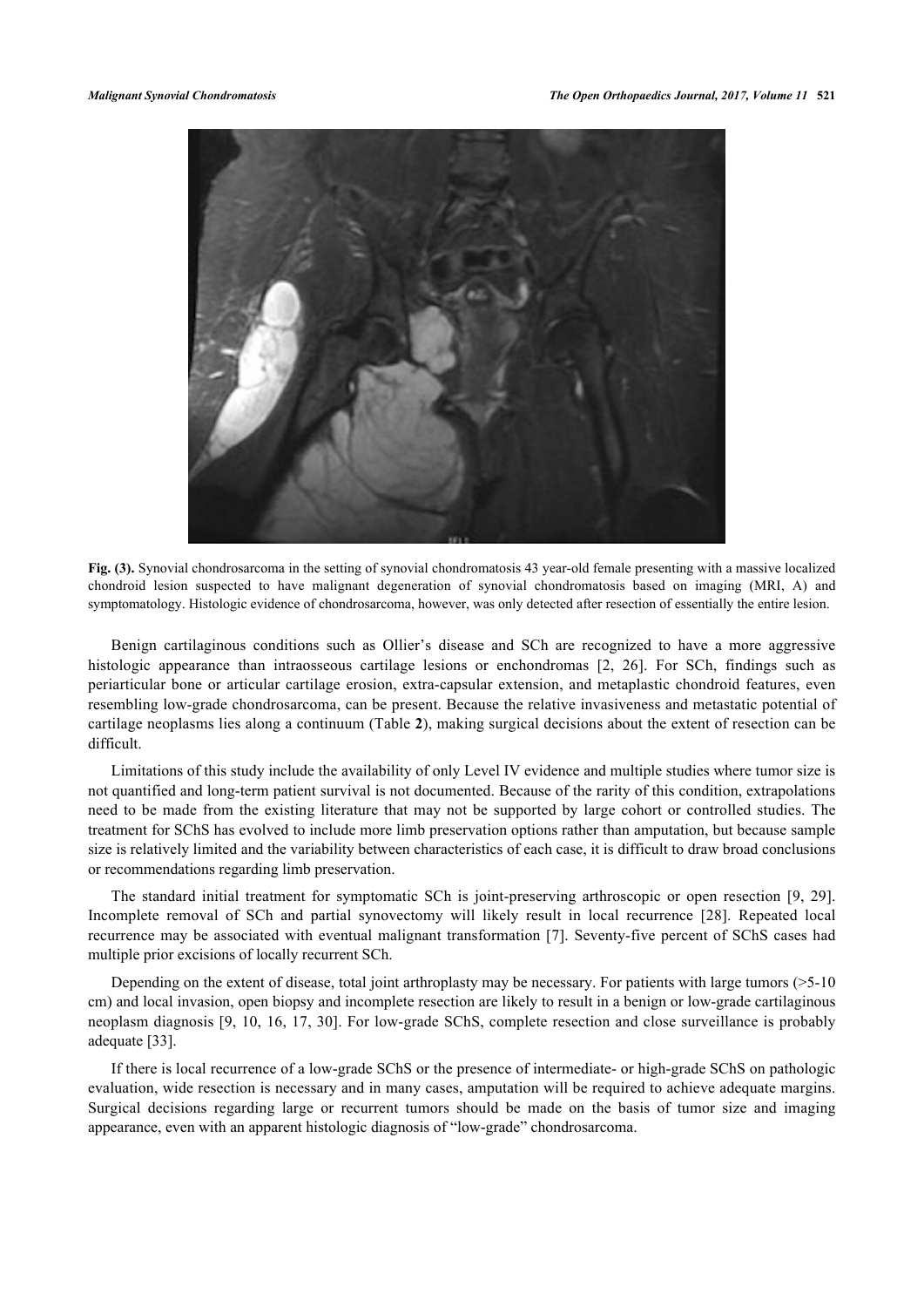

**Fig. (3).** Synovial chondrosarcoma in the setting of synovial chondromatosis 43 year-old female presenting with a massive localized chondroid lesion suspected to have malignant degeneration of synovial chondromatosis based on imaging (MRI, A) and symptomatology. Histologic evidence of chondrosarcoma, however, was only detected after resection of essentially the entire lesion.

Benign cartilaginous conditions such as Ollier's disease and SCh are recognized to have a more aggressive histologic appearance than intraosseous cartilage lesions or enchondromas [\[2](#page-5-9), [26](#page-6-5)]. For SCh, findings such as periarticular bone or articular cartilage erosion, extra-capsular extension, and metaplastic chondroid features, even resembling low-grade chondrosarcoma, can be present. Because the relative invasiveness and metastatic potential of cartilage neoplasms lies along a continuum (Table **[2](#page-2-1)**), making surgical decisions about the extent of resection can be difficult.

Limitations of this study include the availability of only Level IV evidence and multiple studies where tumor size is not quantified and long-term patient survival is not documented. Because of the rarity of this condition, extrapolations need to be made from the existing literature that may not be supported by large cohort or controlled studies. The treatment for SChS has evolved to include more limb preservation options rather than amputation, but because sample size is relatively limited and the variability between characteristics of each case, it is difficult to draw broad conclusions or recommendations regarding limb preservation.

The standard initial treatment for symptomatic SCh is joint-preserving arthroscopic or open resection[[9,](#page-5-11) [29\]](#page-6-14). Incomplete removal of SCh and partial synovectomy will likely result in local recurrence[[28](#page-6-15)]. Repeated local recurrence may be associated with eventual malignant transformation [\[7\]](#page-5-3). Seventy-five percent of SChS cases had multiple prior excisions of locally recurrent SCh.

Depending on the extent of disease, total joint arthroplasty may be necessary. For patients with large tumors (>5-10 cm) and local invasion, open biopsy and incomplete resection are likely to result in a benign or low-grade cartilaginous neoplasm diagnosis [[9,](#page-5-11) [10,](#page-5-5) [16](#page-5-13), [17](#page-5-14), [30](#page-6-7)]. For low-grade SChS, complete resection and close surveillance is probably adequate [\[33](#page-6-8)].

If there is local recurrence of a low-grade SChS or the presence of intermediate- or high-grade SChS on pathologic evaluation, wide resection is necessary and in many cases, amputation will be required to achieve adequate margins. Surgical decisions regarding large or recurrent tumors should be made on the basis of tumor size and imaging appearance, even with an apparent histologic diagnosis of "low-grade" chondrosarcoma.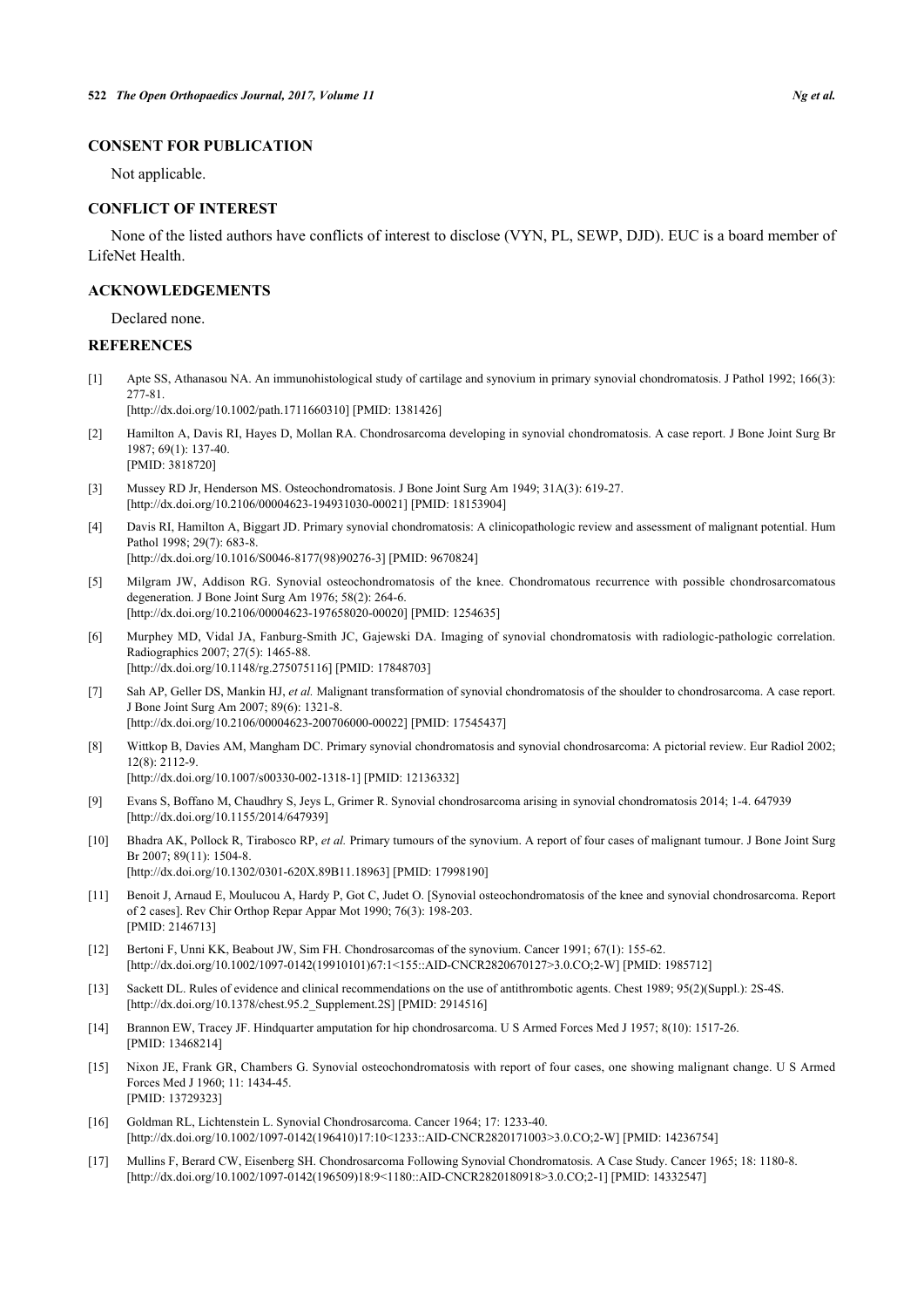### **CONSENT FOR PUBLICATION**

Not applicable.

#### **CONFLICT OF INTEREST**

None of the listed authors have conflicts of interest to disclose (VYN, PL, SEWP, DJD). EUC is a board member of LifeNet Health.

#### **ACKNOWLEDGEMENTS**

Declared none.

#### **REFERENCES**

<span id="page-5-0"></span>[1] Apte SS, Athanasou NA. An immunohistological study of cartilage and synovium in primary synovial chondromatosis. J Pathol 1992; 166(3): 277-81.

[\[http://dx.doi.org/10.1002/path.1711660310\]](http://dx.doi.org/10.1002/path.1711660310) [PMID: [1381426](http://www.ncbi.nlm.nih.gov/pubmed/1381426)]

- <span id="page-5-9"></span>[2] Hamilton A, Davis RI, Hayes D, Mollan RA. Chondrosarcoma developing in synovial chondromatosis. A case report. J Bone Joint Surg Br 1987; 69(1): 137-40. [PMID: [3818720\]](http://www.ncbi.nlm.nih.gov/pubmed/3818720)
- <span id="page-5-1"></span>[3] Mussey RD Jr, Henderson MS. Osteochondromatosis. J Bone Joint Surg Am 1949; 31A(3): 619-27. [\[http://dx.doi.org/10.2106/00004623-194931030-00021](http://dx.doi.org/10.2106/00004623-194931030-00021)] [PMID: [18153904\]](http://www.ncbi.nlm.nih.gov/pubmed/18153904)
- <span id="page-5-2"></span>[4] Davis RI, Hamilton A, Biggart JD. Primary synovial chondromatosis: A clinicopathologic review and assessment of malignant potential. Hum Pathol 1998; 29(7): 683-8.
	- [\[http://dx.doi.org/10.1016/S0046-8177\(98\)90276-3\]](http://dx.doi.org/10.1016/S0046-8177(98)90276-3) [PMID: [9670824](http://www.ncbi.nlm.nih.gov/pubmed/9670824)]
- <span id="page-5-10"></span>[5] Milgram JW, Addison RG. Synovial osteochondromatosis of the knee. Chondromatous recurrence with possible chondrosarcomatous degeneration. J Bone Joint Surg Am 1976; 58(2): 264-6. [\[http://dx.doi.org/10.2106/00004623-197658020-00020](http://dx.doi.org/10.2106/00004623-197658020-00020)] [PMID: [1254635\]](http://www.ncbi.nlm.nih.gov/pubmed/1254635)
- [6] Murphey MD, Vidal JA, Fanburg-Smith JC, Gajewski DA. Imaging of synovial chondromatosis with radiologic-pathologic correlation. Radiographics 2007; 27(5): 1465-88. [\[http://dx.doi.org/10.1148/rg.275075116](http://dx.doi.org/10.1148/rg.275075116)] [PMID: [17848703](http://www.ncbi.nlm.nih.gov/pubmed/17848703)]
- <span id="page-5-3"></span>[7] Sah AP, Geller DS, Mankin HJ, *et al.* Malignant transformation of synovial chondromatosis of the shoulder to chondrosarcoma. A case report. J Bone Joint Surg Am 2007; 89(6): 1321-8. [\[http://dx.doi.org/10.2106/00004623-200706000-00022](http://dx.doi.org/10.2106/00004623-200706000-00022)] [PMID: [17545437\]](http://www.ncbi.nlm.nih.gov/pubmed/17545437)
- <span id="page-5-4"></span>[8] Wittkop B, Davies AM, Mangham DC. Primary synovial chondromatosis and synovial chondrosarcoma: A pictorial review. Eur Radiol 2002; 12(8): 2112-9. [\[http://dx.doi.org/10.1007/s00330-002-1318-1\]](http://dx.doi.org/10.1007/s00330-002-1318-1) [PMID: [12136332](http://www.ncbi.nlm.nih.gov/pubmed/12136332)]
- <span id="page-5-11"></span>[9] Evans S, Boffano M, Chaudhry S, Jeys L, Grimer R. Synovial chondrosarcoma arising in synovial chondromatosis 2014; 1-4. 647939 [\[http://dx.doi.org/10.1155/2014/647939](http://dx.doi.org/10.1155/2014/647939)]
- <span id="page-5-5"></span>[10] Bhadra AK, Pollock R, Tirabosco RP, *et al.* Primary tumours of the synovium. A report of four cases of malignant tumour. J Bone Joint Surg Br 2007; 89(11): 1504-8. [\[http://dx.doi.org/10.1302/0301-620X.89B11.18963\]](http://dx.doi.org/10.1302/0301-620X.89B11.18963) [PMID: [17998190](http://www.ncbi.nlm.nih.gov/pubmed/17998190)]
- <span id="page-5-6"></span>[11] Benoit J, Arnaud E, Moulucou A, Hardy P, Got C, Judet O. [Synovial osteochondromatosis of the knee and synovial chondrosarcoma. Report of 2 cases]. Rev Chir Orthop Repar Appar Mot 1990; 76(3): 198-203. [PMID: [2146713\]](http://www.ncbi.nlm.nih.gov/pubmed/2146713)
- <span id="page-5-7"></span>[12] Bertoni F, Unni KK, Beabout JW, Sim FH. Chondrosarcomas of the synovium. Cancer 1991; 67(1): 155-62. [\[http://dx.doi.org/10.1002/1097-0142\(19910101\)67:1<155::AID-CNCR2820670127>3.0.CO;2-W\]](http://dx.doi.org/10.1002/1097-0142(19910101)67:1<155::AID-CNCR2820670127>3.0.CO;2-W) [PMID: [1985712](http://www.ncbi.nlm.nih.gov/pubmed/1985712)]
- <span id="page-5-8"></span>[13] Sackett DL. Rules of evidence and clinical recommendations on the use of antithrombotic agents. Chest 1989; 95(2)(Suppl.): 2S-4S. [\[http://dx.doi.org/10.1378/chest.95.2\\_Supplement.2S\]](http://dx.doi.org/10.1378/chest.95.2_Supplement.2S) [PMID: [2914516](http://www.ncbi.nlm.nih.gov/pubmed/2914516)]
- <span id="page-5-12"></span>[14] Brannon EW, Tracey JF. Hindquarter amputation for hip chondrosarcoma. U S Armed Forces Med J 1957; 8(10): 1517-26. [PMID: [13468214\]](http://www.ncbi.nlm.nih.gov/pubmed/13468214)
- [15] Nixon JE, Frank GR, Chambers G. Synovial osteochondromatosis with report of four cases, one showing malignant change. U S Armed Forces Med J 1960; 11: 1434-45. [PMID: [13729323\]](http://www.ncbi.nlm.nih.gov/pubmed/13729323)
- <span id="page-5-13"></span>[16] Goldman RL, Lichtenstein L. Synovial Chondrosarcoma. Cancer 1964; 17: 1233-40. [\[http://dx.doi.org/10.1002/1097-0142\(196410\)17:10<1233::AID-CNCR2820171003>3.0.CO;2-W\]](http://dx.doi.org/10.1002/1097-0142(196410)17:10<1233::AID-CNCR2820171003>3.0.CO;2-W) [PMID: [14236754](http://www.ncbi.nlm.nih.gov/pubmed/14236754)]
- <span id="page-5-14"></span>[17] Mullins F, Berard CW, Eisenberg SH. Chondrosarcoma Following Synovial Chondromatosis. A Case Study. Cancer 1965; 18: 1180-8. [\[http://dx.doi.org/10.1002/1097-0142\(196509\)18:9<1180::AID-CNCR2820180918>3.0.CO;2-1](http://dx.doi.org/10.1002/1097-0142(196509)18:9<1180::AID-CNCR2820180918>3.0.CO;2-1)] [PMID: [14332547\]](http://www.ncbi.nlm.nih.gov/pubmed/14332547)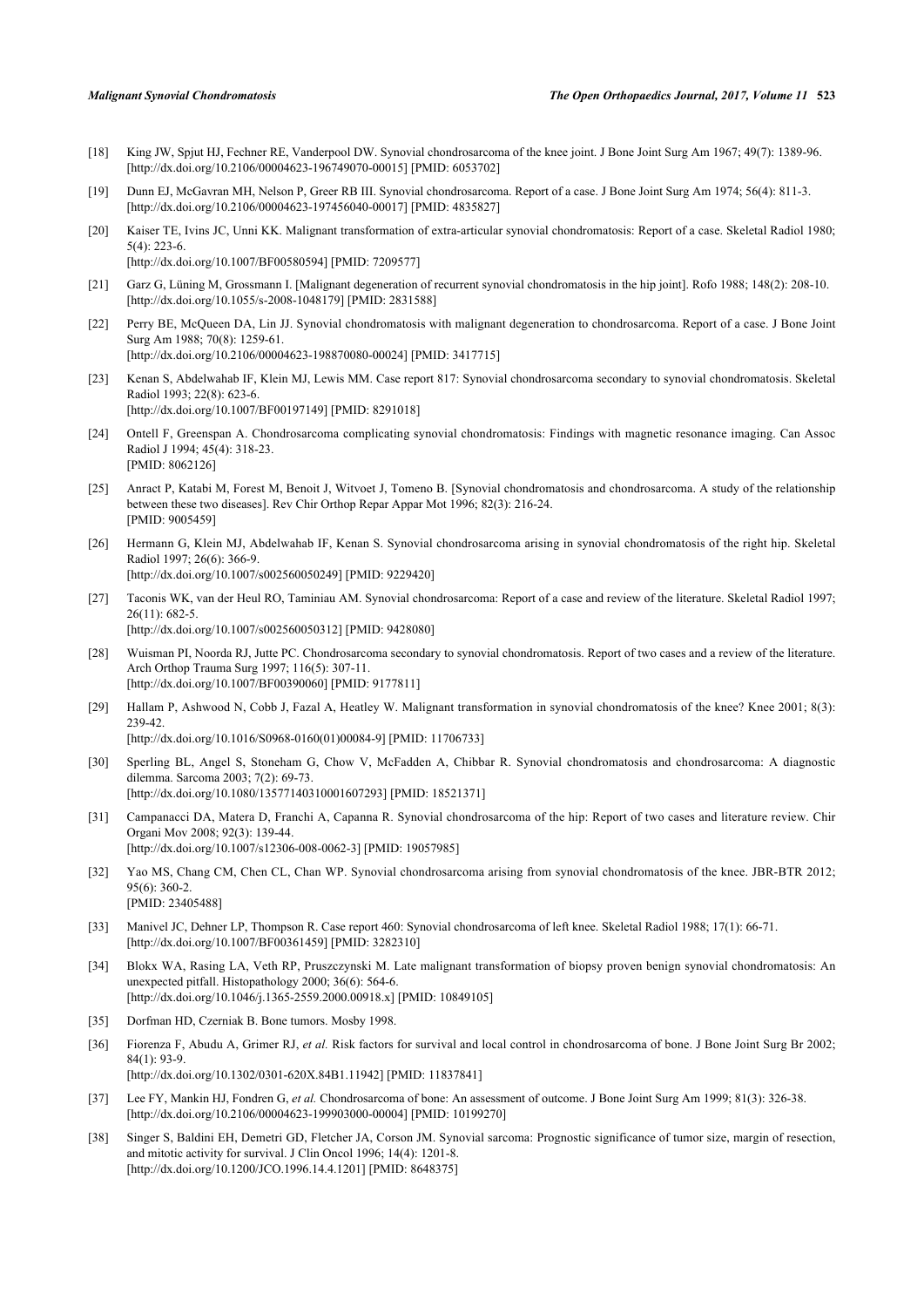- <span id="page-6-1"></span>[18] King JW, Spjut HJ, Fechner RE, Vanderpool DW. Synovial chondrosarcoma of the knee joint. J Bone Joint Surg Am 1967; 49(7): 1389-96. [\[http://dx.doi.org/10.2106/00004623-196749070-00015](http://dx.doi.org/10.2106/00004623-196749070-00015)] [PMID: [6053702\]](http://www.ncbi.nlm.nih.gov/pubmed/6053702)
- [19] Dunn EJ, McGavran MH, Nelson P, Greer RB III. Synovial chondrosarcoma. Report of a case. J Bone Joint Surg Am 1974; 56(4): 811-3. [\[http://dx.doi.org/10.2106/00004623-197456040-00017](http://dx.doi.org/10.2106/00004623-197456040-00017)] [PMID: [4835827\]](http://www.ncbi.nlm.nih.gov/pubmed/4835827)
- <span id="page-6-2"></span>[20] Kaiser TE, Ivins JC, Unni KK. Malignant transformation of extra-articular synovial chondromatosis: Report of a case. Skeletal Radiol 1980; 5(4): 223-6.

[\[http://dx.doi.org/10.1007/BF00580594\]](http://dx.doi.org/10.1007/BF00580594) [PMID: [7209577](http://www.ncbi.nlm.nih.gov/pubmed/7209577)]

- [21] Garz G, Lüning M, Grossmann I. [Malignant degeneration of recurrent synovial chondromatosis in the hip joint]. Rofo 1988: 148(2): 208-10. [\[http://dx.doi.org/10.1055/s-2008-1048179](http://dx.doi.org/10.1055/s-2008-1048179)] [PMID: [2831588\]](http://www.ncbi.nlm.nih.gov/pubmed/2831588)
- [22] Perry BE, McQueen DA, Lin JJ. Synovial chondromatosis with malignant degeneration to chondrosarcoma. Report of a case. J Bone Joint Surg Am 1988; 70(8): 1259-61. [\[http://dx.doi.org/10.2106/00004623-198870080-00024](http://dx.doi.org/10.2106/00004623-198870080-00024)] [PMID: [3417715\]](http://www.ncbi.nlm.nih.gov/pubmed/3417715)
- <span id="page-6-3"></span>[23] Kenan S, Abdelwahab IF, Klein MJ, Lewis MM. Case report 817: Synovial chondrosarcoma secondary to synovial chondromatosis. Skeletal Radiol 1993; 22(8): 623-6. [\[http://dx.doi.org/10.1007/BF00197149\]](http://dx.doi.org/10.1007/BF00197149) [PMID: [8291018](http://www.ncbi.nlm.nih.gov/pubmed/8291018)]
- <span id="page-6-4"></span>[24] Ontell F, Greenspan A. Chondrosarcoma complicating synovial chondromatosis: Findings with magnetic resonance imaging. Can Assoc Radiol J 1994; 45(4): 318-23. [PMID: [8062126\]](http://www.ncbi.nlm.nih.gov/pubmed/8062126)
- [25] Anract P, Katabi M, Forest M, Benoit J, Witvoet J, Tomeno B. [Synovial chondromatosis and chondrosarcoma. A study of the relationship between these two diseases]. Rev Chir Orthop Repar Appar Mot 1996; 82(3): 216-24. [PMID: [9005459\]](http://www.ncbi.nlm.nih.gov/pubmed/9005459)
- <span id="page-6-5"></span>[26] Hermann G, Klein MJ, Abdelwahab IF, Kenan S. Synovial chondrosarcoma arising in synovial chondromatosis of the right hip. Skeletal Radiol 1997; 26(6): 366-9. [\[http://dx.doi.org/10.1007/s002560050249\]](http://dx.doi.org/10.1007/s002560050249) [PMID: [9229420](http://www.ncbi.nlm.nih.gov/pubmed/9229420)]
- [27] Taconis WK, van der Heul RO, Taminiau AM. Synovial chondrosarcoma: Report of a case and review of the literature. Skeletal Radiol 1997; 26(11): 682-5. [\[http://dx.doi.org/10.1007/s002560050312\]](http://dx.doi.org/10.1007/s002560050312) [PMID: [9428080](http://www.ncbi.nlm.nih.gov/pubmed/9428080)]
- <span id="page-6-15"></span>[28] Wuisman PI, Noorda RJ, Jutte PC. Chondrosarcoma secondary to synovial chondromatosis. Report of two cases and a review of the literature. Arch Orthop Trauma Surg 1997; 116(5): 307-11. [\[http://dx.doi.org/10.1007/BF00390060\]](http://dx.doi.org/10.1007/BF00390060) [PMID: [9177811](http://www.ncbi.nlm.nih.gov/pubmed/9177811)]
- <span id="page-6-14"></span>[29] Hallam P, Ashwood N, Cobb J, Fazal A, Heatley W. Malignant transformation in synovial chondromatosis of the knee? Knee 2001; 8(3): 239-42. [\[http://dx.doi.org/10.1016/S0968-0160\(01\)00084-9\]](http://dx.doi.org/10.1016/S0968-0160(01)00084-9) [PMID: [11706733](http://www.ncbi.nlm.nih.gov/pubmed/11706733)]
- <span id="page-6-7"></span>[30] Sperling BL, Angel S, Stoneham G, Chow V, McFadden A, Chibbar R. Synovial chondromatosis and chondrosarcoma: A diagnostic
- dilemma. Sarcoma 2003; 7(2): 69-73. [\[http://dx.doi.org/10.1080/13577140310001607293\]](http://dx.doi.org/10.1080/13577140310001607293) [PMID: [18521371](http://www.ncbi.nlm.nih.gov/pubmed/18521371)]
- <span id="page-6-6"></span>[31] Campanacci DA, Matera D, Franchi A, Capanna R. Synovial chondrosarcoma of the hip: Report of two cases and literature review. Chir Organi Mov 2008; 92(3): 139-44. [\[http://dx.doi.org/10.1007/s12306-008-0062-3\]](http://dx.doi.org/10.1007/s12306-008-0062-3) [PMID: [19057985](http://www.ncbi.nlm.nih.gov/pubmed/19057985)]
- <span id="page-6-0"></span>[32] Yao MS, Chang CM, Chen CL, Chan WP. Synovial chondrosarcoma arising from synovial chondromatosis of the knee. JBR-BTR 2012; 95(6): 360-2. [PMID: [23405488\]](http://www.ncbi.nlm.nih.gov/pubmed/23405488)
- <span id="page-6-8"></span>[33] Manivel JC, Dehner LP, Thompson R. Case report 460: Synovial chondrosarcoma of left knee. Skeletal Radiol 1988; 17(1): 66-71. [\[http://dx.doi.org/10.1007/BF00361459\]](http://dx.doi.org/10.1007/BF00361459) [PMID: [3282310](http://www.ncbi.nlm.nih.gov/pubmed/3282310)]
- <span id="page-6-9"></span>[34] Blokx WA, Rasing LA, Veth RP, Pruszczynski M. Late malignant transformation of biopsy proven benign synovial chondromatosis: An unexpected pitfall. Histopathology 2000; 36(6): 564-6. [\[http://dx.doi.org/10.1046/j.1365-2559.2000.00918.x\]](http://dx.doi.org/10.1046/j.1365-2559.2000.00918.x) [PMID: [10849105](http://www.ncbi.nlm.nih.gov/pubmed/10849105)]
- <span id="page-6-10"></span>[35] Dorfman HD, Czerniak B. Bone tumors. Mosby 1998.
- <span id="page-6-11"></span>[36] Fiorenza F, Abudu A, Grimer RJ, *et al.* Risk factors for survival and local control in chondrosarcoma of bone. J Bone Joint Surg Br 2002; 84(1): 93-9. [\[http://dx.doi.org/10.1302/0301-620X.84B1.11942\]](http://dx.doi.org/10.1302/0301-620X.84B1.11942) [PMID: [11837841](http://www.ncbi.nlm.nih.gov/pubmed/11837841)]
- <span id="page-6-12"></span>[37] Lee FY, Mankin HJ, Fondren G, *et al.* Chondrosarcoma of bone: An assessment of outcome. J Bone Joint Surg Am 1999; 81(3): 326-38. [\[http://dx.doi.org/10.2106/00004623-199903000-00004](http://dx.doi.org/10.2106/00004623-199903000-00004)] [PMID: [10199270\]](http://www.ncbi.nlm.nih.gov/pubmed/10199270)
- <span id="page-6-13"></span>[38] Singer S, Baldini EH, Demetri GD, Fletcher JA, Corson JM. Synovial sarcoma: Prognostic significance of tumor size, margin of resection, and mitotic activity for survival. J Clin Oncol 1996; 14(4): 1201-8. [\[http://dx.doi.org/10.1200/JCO.1996.14.4.1201](http://dx.doi.org/10.1200/JCO.1996.14.4.1201)] [PMID: [8648375\]](http://www.ncbi.nlm.nih.gov/pubmed/8648375)